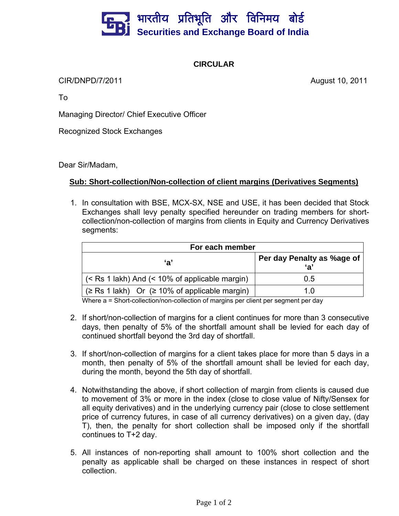

## **CIRCULAR**

CIR/DNPD/7/2011 August 10, 2011

To

Managing Director/ Chief Executive Officer

Recognized Stock Exchanges

Dear Sir/Madam,

## **Sub: Short-collection/Non-collection of client margins (Derivatives Segments)**

1. In consultation with BSE, MCX-SX, NSE and USE, it has been decided that Stock Exchanges shall levy penalty specified hereunder on trading members for shortcollection/non-collection of margins from clients in Equity and Currency Derivatives segments:

| For each member                                          |                            |
|----------------------------------------------------------|----------------------------|
| 'a'                                                      | Per day Penalty as %age of |
| (< Rs 1 lakh) And (< 10% of applicable margin)           | 0.5                        |
| $(\geq$ Rs 1 lakh) Or $(\geq 10\%$ of applicable margin) | 1 በ                        |

Where a = Short-collection/non-collection of margins per client per segment per day

- 2. If short/non-collection of margins for a client continues for more than 3 consecutive days, then penalty of 5% of the shortfall amount shall be levied for each day of continued shortfall beyond the 3rd day of shortfall.
- 3. If short/non-collection of margins for a client takes place for more than 5 days in a month, then penalty of 5% of the shortfall amount shall be levied for each day, during the month, beyond the 5th day of shortfall.
- 4. Notwithstanding the above, if short collection of margin from clients is caused due to movement of 3% or more in the index (close to close value of Nifty/Sensex for all equity derivatives) and in the underlying currency pair (close to close settlement price of currency futures, in case of all currency derivatives) on a given day, (day T), then, the penalty for short collection shall be imposed only if the shortfall continues to T+2 day.
- 5. All instances of non-reporting shall amount to 100% short collection and the penalty as applicable shall be charged on these instances in respect of short collection.